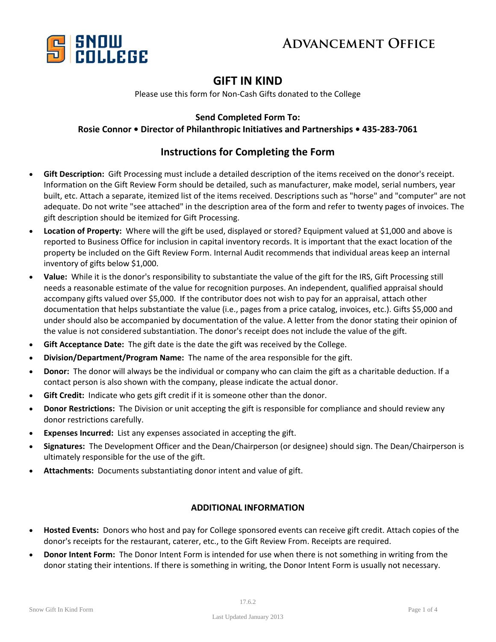



### **GIFT IN KIND**

Please use this form for Non‐Cash Gifts donated to the College

#### **Send Completed Form To:**

#### **Rosie Connor • Director of Philanthropic Initiatives and Partnerships • 435‐283‐7061**

#### **Instructions for Completing the Form**

- **Gift Description:** Gift Processing must include a detailed description of the items received on the donor's receipt. Information on the Gift Review Form should be detailed, such as manufacturer, make model, serial numbers, year built, etc. Attach a separate, itemized list of the items received. Descriptions such as "horse" and "computer" are not adequate. Do not write "see attached" in the description area of the form and refer to twenty pages of invoices. The gift description should be itemized for Gift Processing.
- **Location of Property:** Where will the gift be used, displayed or stored? Equipment valued at \$1,000 and above is reported to Business Office for inclusion in capital inventory records. It is important that the exact location of the property be included on the Gift Review Form. Internal Audit recommends that individual areas keep an internal inventory of gifts below \$1,000.
- Value: While it is the donor's responsibility to substantiate the value of the gift for the IRS, Gift Processing still needs a reasonable estimate of the value for recognition purposes. An independent, qualified appraisal should accompany gifts valued over \$5,000. If the contributor does not wish to pay for an appraisal, attach other documentation that helps substantiate the value (i.e., pages from a price catalog, invoices, etc.). Gifts \$5,000 and under should also be accompanied by documentation of the value. A letter from the donor stating their opinion of the value is not considered substantiation. The donor's receipt does not include the value of the gift.
- **Gift Acceptance Date:** The gift date is the date the gift was received by the College.
- **Division/Department/Program Name:** The name of the area responsible for the gift.
- **Donor:** The donor will always be the individual or company who can claim the gift as a charitable deduction. If a contact person is also shown with the company, please indicate the actual donor.
- **Gift Credit:** Indicate who gets gift credit if it is someone other than the donor.
- **Donor Restrictions:** The Division or unit accepting the gift is responsible for compliance and should review any donor restrictions carefully.
- **Expenses Incurred:** List any expenses associated in accepting the gift.
- **Signatures:** The Development Officer and the Dean/Chairperson (or designee) should sign. The Dean/Chairperson is ultimately responsible for the use of the gift.
- Attachments: Documents substantiating donor intent and value of gift.

#### **ADDITIONAL INFORMATION**

- **Hosted Events:** Donors who host and pay for College sponsored events can receive gift credit. Attach copies of the donor's receipts for the restaurant, caterer, etc., to the Gift Review From. Receipts are required.
- **Donor Intent Form:** The Donor Intent Form is intended for use when there is not something in writing from the donor stating their intentions. If there is something in writing, the Donor Intent Form is usually not necessary.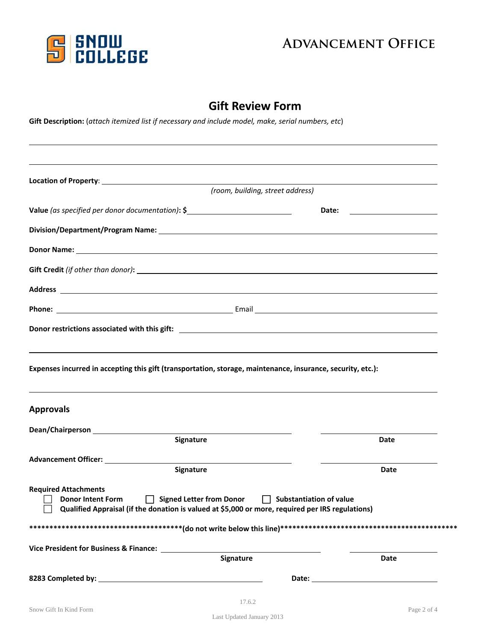

## **ADVANCEMENT OFFICE**

### **Gift Review Form**

Gift Description: (attach itemized list if necessary and include model, make, serial numbers, etc)

|                                                                                                                                                                                                                                           | (room, building, street address) |             |
|-------------------------------------------------------------------------------------------------------------------------------------------------------------------------------------------------------------------------------------------|----------------------------------|-------------|
|                                                                                                                                                                                                                                           |                                  |             |
| Value (as specified per donor documentation): \$                                                                                                                                                                                          |                                  |             |
|                                                                                                                                                                                                                                           |                                  |             |
| <b>Donor Name:</b> <u>Contract Contract Contract Contract Contract Contract Contract Contract Contract Contract Contract Contract Contract Contract Contract Contract Contract Contract Contract Contract Contract Contract Contract </u> |                                  |             |
|                                                                                                                                                                                                                                           |                                  |             |
| Address and the contract of the contract of the contract of the contract of the contract of the contract of the contract of the contract of the contract of the contract of the contract of the contract of the contract of th            |                                  |             |
|                                                                                                                                                                                                                                           |                                  |             |
|                                                                                                                                                                                                                                           |                                  |             |
|                                                                                                                                                                                                                                           |                                  |             |
|                                                                                                                                                                                                                                           |                                  |             |
|                                                                                                                                                                                                                                           |                                  |             |
|                                                                                                                                                                                                                                           |                                  |             |
| Signature                                                                                                                                                                                                                                 |                                  | <b>Date</b> |
|                                                                                                                                                                                                                                           |                                  |             |
| Expenses incurred in accepting this gift (transportation, storage, maintenance, insurance, security, etc.):<br>Signature                                                                                                                  |                                  | Date        |
| Donor Intent Form <b>DepartManne Interval Signed Letter from Donor</b><br>Qualified Appraisal (if the donation is valued at \$5,000 or more, required per IRS regulations)                                                                | $\Box$ Substantiation of value   |             |
|                                                                                                                                                                                                                                           |                                  |             |
| <b>Approvals</b><br>Advancement Officer: 1988 1999<br><b>Required Attachments</b><br>Vice President for Business & Finance: Nice President for Business & Finance:<br><b>Signature</b>                                                    |                                  | Date        |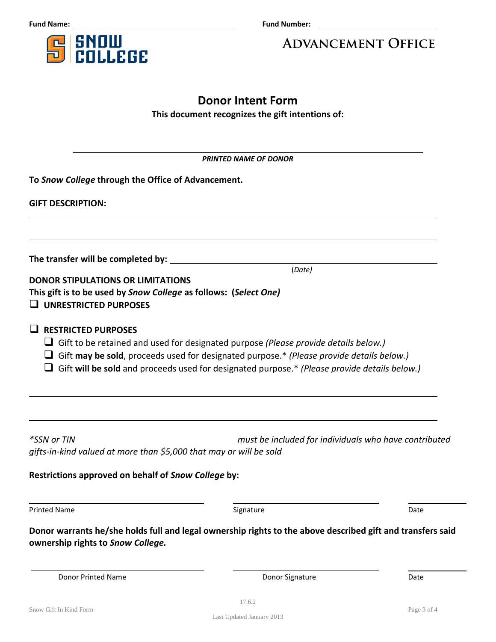**SNOW<br>COLLEGE** 5

**Fund Name: <u><b>Eund Name: CO EU**</u>

# **Advancement Office**

### **Donor Intent Form This document recognizes the gift intentions of:**

| <b>PRINTED NAME OF DONOR</b>                                                                                                                 |                                                                                                                                                                                                                                                                                 |      |  |
|----------------------------------------------------------------------------------------------------------------------------------------------|---------------------------------------------------------------------------------------------------------------------------------------------------------------------------------------------------------------------------------------------------------------------------------|------|--|
| To Snow College through the Office of Advancement.                                                                                           |                                                                                                                                                                                                                                                                                 |      |  |
| <b>GIFT DESCRIPTION:</b>                                                                                                                     |                                                                                                                                                                                                                                                                                 |      |  |
|                                                                                                                                              |                                                                                                                                                                                                                                                                                 |      |  |
| <b>DONOR STIPULATIONS OR LIMITATIONS</b><br>This gift is to be used by Snow College as follows: (Select One)<br>$\Box$ UNRESTRICTED PURPOSES | (Date)                                                                                                                                                                                                                                                                          |      |  |
| $\Box$ RESTRICTED PURPOSES                                                                                                                   | Gift to be retained and used for designated purpose (Please provide details below.)<br>Gift may be sold, proceeds used for designated purpose.* (Please provide details below.)<br>Gift will be sold and proceeds used for designated purpose.* (Please provide details below.) |      |  |
| <i>*SSN or TIN</i><br>gifts-in-kind valued at more than \$5,000 that may or will be sold                                                     | must be included for individuals who have contributed for individuals who have contributed                                                                                                                                                                                      |      |  |
| Restrictions approved on behalf of Snow College by:                                                                                          |                                                                                                                                                                                                                                                                                 |      |  |
| <b>Printed Name</b>                                                                                                                          | Signature                                                                                                                                                                                                                                                                       | Date |  |
| ownership rights to Snow College.                                                                                                            | Donor warrants he/she holds full and legal ownership rights to the above described gift and transfers said                                                                                                                                                                      |      |  |
| Donor Printed Name                                                                                                                           | Donor Signature                                                                                                                                                                                                                                                                 | Date |  |

Last Updated January 2013